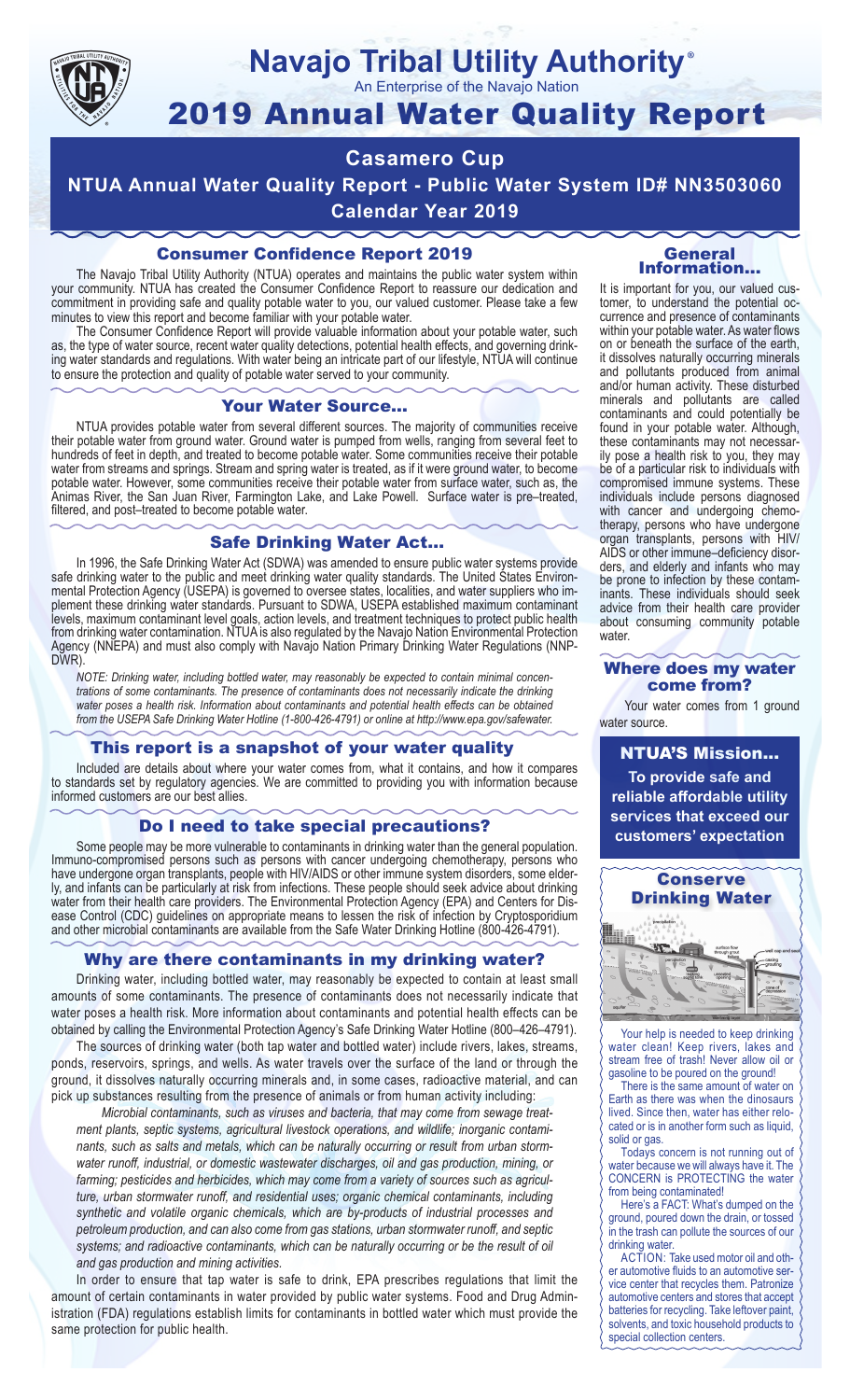

### **Navajo Tribal Utility Authority** ®

An Enterprise of the Navajo Nation

# 2019 Annual Water Quality Report

# **Casamero Cup**

**NTUA Annual Water Quality Report - Public Water System ID# NN3503060 Calendar Year 2019**

## Consumer Confidence Report 2019

The Navajo Tribal Utility Authority (NTUA) operates and maintains the public water system within your community. NTUA has created the Consumer Confidence Report to reassure our dedication and commitment in providing safe and quality potable water to you, our valued customer. Please take a few minutes to view this report and become familiar with your potable water.

The Consumer Confidence Report will provide valuable information about your potable water, such as, the type of water source, recent water quality detections, potential health effects, and governing drinking water standards and regulations. With water being an intricate part of our lifestyle, NTUA will continue to ensure the protection and quality of potable water served to your community.

#### Your Water Source…

NTUA provides potable water from several different sources. The majority of communities receive their potable water from ground water. Ground water is pumped from wells, ranging from several feet to hundreds of feet in depth, and treated to become potable water. Some communities receive their potable water from streams and springs. Stream and spring water is treated, as if it were ground water, to become potable water. However, some communities receive their potable water from surface water, such as, the Animas River, the San Juan River, Farmington Lake, and Lake Powell. Surface water is pre–treated, filtered, and post–treated to become potable water.

#### Safe Drinking Water Act…

In 1996, the Safe Drinking Water Act (SDWA) was amended to ensure public water systems provide safe drinking water to the public and meet drinking water quality standards. The United States Environmental Protection Agency (USEPA) is governed to oversee states, localities, and water suppliers who implement these drinking water standards. Pursuant to SDWA, USEPA established maximum contaminant levels, maximum contaminant level goals, action levels, and treatment techniques to protect public health from drinking water contamination. NTUA is also regulated by the Navajo Nation Environmental Protection Agency (NNEPA) and must also comply with Navajo Nation Primary Drinking Water Regulations (NNP-DWR)

*NOTE: Drinking water, including bottled water, may reasonably be expected to contain minimal concentrations of some contaminants. The presence of contaminants does not necessarily indicate the drinking water poses a health risk. Information about contaminants and potential health effects can be obtained from the USEPA Safe Drinking Water Hotline (1-800-426-4791) or online at http://www.epa.gov/safewater.*

### This report is a snapshot of your water quality

Included are details about where your water comes from, what it contains, and how it compares to standards set by regulatory agencies. We are committed to providing you with information because informed customers are our best allies.

#### Do I need to take special precautions?

Some people may be more vulnerable to contaminants in drinking water than the general population. Immuno-compromised persons such as persons with cancer undergoing chemotherapy, persons who have undergone organ transplants, people with HIV/AIDS or other immune system disorders, some elderly, and infants can be particularly at risk from infections. These people should seek advice about drinking water from their health care providers. The Environmental Protection Agency (EPA) and Centers for Disease Control (CDC) guidelines on appropriate means to lessen the risk of infection by Cryptosporidium and other microbial contaminants are available from the Safe Water Drinking Hotline (800-426-4791).

### Why are there contaminants in my drinking water?

Drinking water, including bottled water, may reasonably be expected to contain at least small amounts of some contaminants. The presence of contaminants does not necessarily indicate that water poses a health risk. More information about contaminants and potential health effects can be obtained by calling the Environmental Protection Agency's Safe Drinking Water Hotline (800–426–4791).

The sources of drinking water (both tap water and bottled water) include rivers, lakes, streams, ponds, reservoirs, springs, and wells. As water travels over the surface of the land or through the ground, it dissolves naturally occurring minerals and, in some cases, radioactive material, and can pick up substances resulting from the presence of animals or from human activity including:

*Microbial contaminants, such as viruses and bacteria, that may come from sewage treatment plants, septic systems, agricultural livestock operations, and wildlife; inorganic contaminants, such as salts and metals, which can be naturally occurring or result from urban stormwater runoff, industrial, or domestic wastewater discharges, oil and gas production, mining, or farming; pesticides and herbicides, which may come from a variety of sources such as agriculture, urban stormwater runoff, and residential uses; organic chemical contaminants, including synthetic and volatile organic chemicals, which are by-products of industrial processes and petroleum production, and can also come from gas stations, urban stormwater runoff, and septic systems; and radioactive contaminants, which can be naturally occurring or be the result of oil and gas production and mining activities.*

In order to ensure that tap water is safe to drink, EPA prescribes regulations that limit the amount of certain contaminants in water provided by public water systems. Food and Drug Administration (FDA) regulations establish limits for contaminants in bottled water which must provide the same protection for public health.

#### General Information…

It is important for you, our valued customer, to understand the potential occurrence and presence of contaminants within your potable water. As water flows on or beneath the surface of the earth, it dissolves naturally occurring minerals and pollutants produced from animal and/or human activity. These disturbed minerals and pollutants are called contaminants and could potentially be found in your potable water. Although, these contaminants may not necessarily pose a health risk to you, they may be of a particular risk to individuals with compromised immune systems. These individuals include persons diagnosed with cancer and undergoing chemo-<br>therapy, persons who have undergone organ transplants, persons with HIV/ AIDS or other immune–deficiency disor- ders, and elderly and infants who may be prone to infection by these contam- inants. These individuals should seek advice from their health care provider about consuming community potable water.

#### Where does my water come from?

Your water comes from 1 ground water source.

NTUA'S Mission... **To provide safe and reliable affordable utility services that exceed our customers' expectation**



Your help is needed to keep drinking water clean! Keep rivers, lakes and stream free of trash! Never allow oil or gasoline to be poured on the ground!

There is the same amount of water on Earth as there was when the dinosaurs lived. Since then, water has either relocated or is in another form such as liquid, solid or gas.

Todays concern is not running out of water because we will always have it. The CONCERN is PROTECTING the water from being contaminated!

Here's a FACT: What's dumped on the ground, poured down the drain, or tossed in the trash can pollute the sources of our drinking water.

ACTION: Take used motor oil and other automotive fluids to an automotive service center that recycles them. Patronize automotive centers and stores that accept batteries for recycling. Take leftover paint, solvents, and toxic household products to special collection centers.